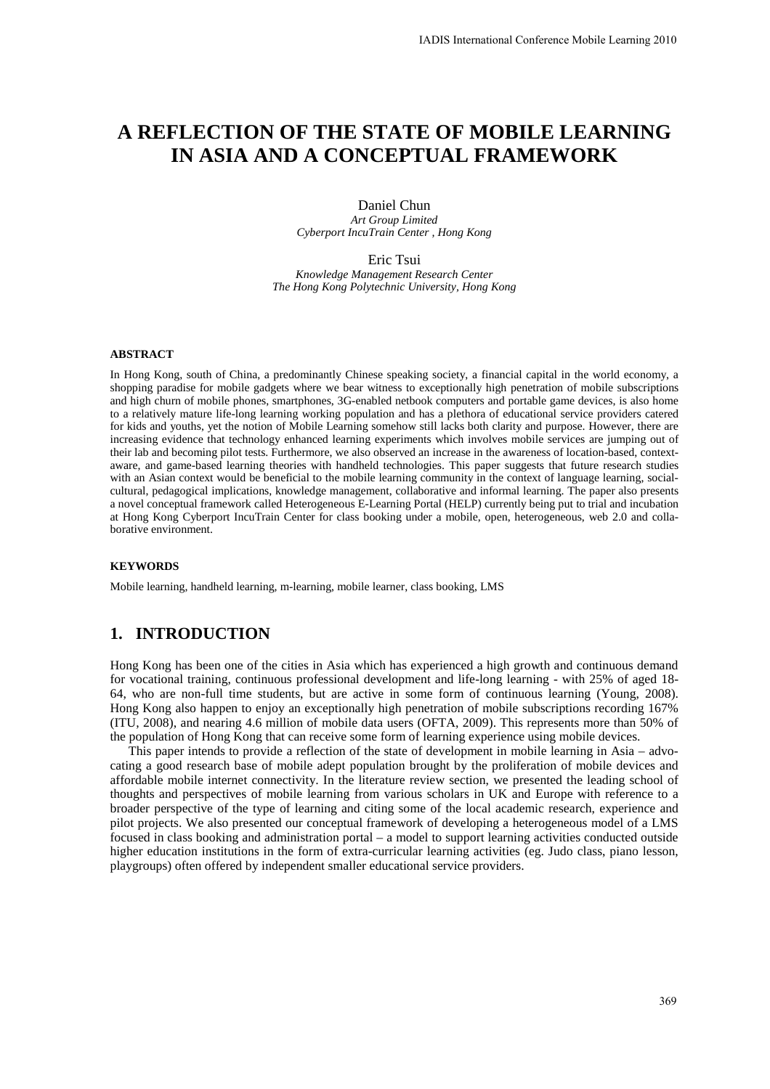# **A REFLECTION OF THE STATE OF MOBILE LEARNING IN ASIA AND A CONCEPTUAL FRAMEWORK**

Daniel Chun *Art Group Limited Cyberport IncuTrain Center , Hong Kong* 

Eric Tsui *Knowledge Management Research Center The Hong Kong Polytechnic University, Hong Kong* 

#### **ABSTRACT**

In Hong Kong, south of China, a predominantly Chinese speaking society, a financial capital in the world economy, a shopping paradise for mobile gadgets where we bear witness to exceptionally high penetration of mobile subscriptions and high churn of mobile phones, smartphones, 3G-enabled netbook computers and portable game devices, is also home to a relatively mature life-long learning working population and has a plethora of educational service providers catered for kids and youths, yet the notion of Mobile Learning somehow still lacks both clarity and purpose. However, there are increasing evidence that technology enhanced learning experiments which involves mobile services are jumping out of their lab and becoming pilot tests. Furthermore, we also observed an increase in the awareness of location-based, contextaware, and game-based learning theories with handheld technologies. This paper suggests that future research studies with an Asian context would be beneficial to the mobile learning community in the context of language learning, socialcultural, pedagogical implications, knowledge management, collaborative and informal learning. The paper also presents a novel conceptual framework called Heterogeneous E-Learning Portal (HELP) currently being put to trial and incubation at Hong Kong Cyberport IncuTrain Center for class booking under a mobile, open, heterogeneous, web 2.0 and collaborative environment.

#### **KEYWORDS**

Mobile learning, handheld learning, m-learning, mobile learner, class booking, LMS

### **1. INTRODUCTION**

Hong Kong has been one of the cities in Asia which has experienced a high growth and continuous demand for vocational training, continuous professional development and life-long learning - with 25% of aged 18- 64, who are non-full time students, but are active in some form of continuous learning (Young, 2008). Hong Kong also happen to enjoy an exceptionally high penetration of mobile subscriptions recording 167% (ITU, 2008), and nearing 4.6 million of mobile data users (OFTA, 2009). This represents more than 50% of the population of Hong Kong that can receive some form of learning experience using mobile devices.

This paper intends to provide a reflection of the state of development in mobile learning in Asia – advocating a good research base of mobile adept population brought by the proliferation of mobile devices and affordable mobile internet connectivity. In the literature review section, we presented the leading school of thoughts and perspectives of mobile learning from various scholars in UK and Europe with reference to a broader perspective of the type of learning and citing some of the local academic research, experience and pilot projects. We also presented our conceptual framework of developing a heterogeneous model of a LMS focused in class booking and administration portal – a model to support learning activities conducted outside higher education institutions in the form of extra-curricular learning activities (eg. Judo class, piano lesson, playgroups) often offered by independent smaller educational service providers.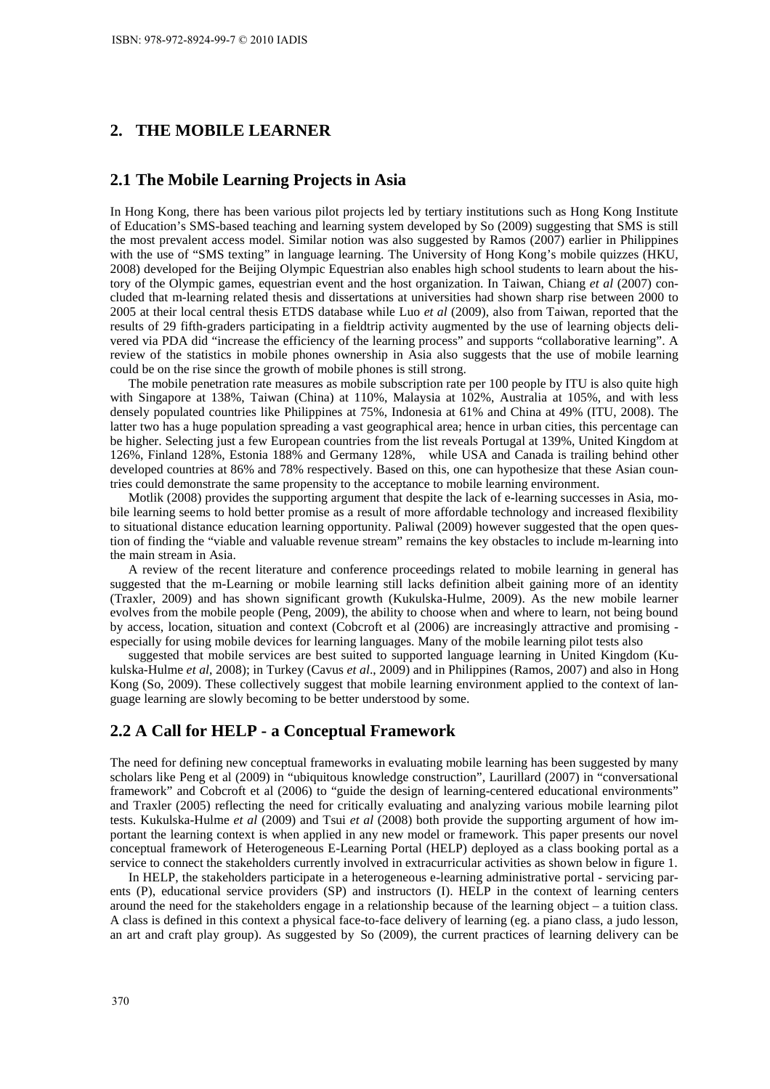### **2. THE MOBILE LEARNER**

#### **2.1 The Mobile Learning Projects in Asia**

In Hong Kong, there has been various pilot projects led by tertiary institutions such as Hong Kong Institute of Education's SMS-based teaching and learning system developed by So (2009) suggesting that SMS is still the most prevalent access model. Similar notion was also suggested by Ramos (2007) earlier in Philippines with the use of "SMS texting" in language learning. The University of Hong Kong's mobile quizzes (HKU, 2008) developed for the Beijing Olympic Equestrian also enables high school students to learn about the history of the Olympic games, equestrian event and the host organization. In Taiwan, Chiang *et al* (2007) concluded that m-learning related thesis and dissertations at universities had shown sharp rise between 2000 to 2005 at their local central thesis ETDS database while Luo *et al* (2009), also from Taiwan, reported that the results of 29 fifth-graders participating in a fieldtrip activity augmented by the use of learning objects delivered via PDA did "increase the efficiency of the learning process" and supports "collaborative learning". A review of the statistics in mobile phones ownership in Asia also suggests that the use of mobile learning could be on the rise since the growth of mobile phones is still strong.

The mobile penetration rate measures as mobile subscription rate per 100 people by ITU is also quite high with Singapore at 138%, Taiwan (China) at 110%, Malaysia at 102%, Australia at 105%, and with less densely populated countries like Philippines at 75%, Indonesia at 61% and China at 49% (ITU, 2008). The latter two has a huge population spreading a vast geographical area; hence in urban cities, this percentage can be higher. Selecting just a few European countries from the list reveals Portugal at 139%, United Kingdom at 126%, Finland 128%, Estonia 188% and Germany 128%, while USA and Canada is trailing behind other developed countries at 86% and 78% respectively. Based on this, one can hypothesize that these Asian countries could demonstrate the same propensity to the acceptance to mobile learning environment.

Motlik (2008) provides the supporting argument that despite the lack of e-learning successes in Asia, mobile learning seems to hold better promise as a result of more affordable technology and increased flexibility to situational distance education learning opportunity. Paliwal (2009) however suggested that the open question of finding the "viable and valuable revenue stream" remains the key obstacles to include m-learning into the main stream in Asia.

A review of the recent literature and conference proceedings related to mobile learning in general has suggested that the m-Learning or mobile learning still lacks definition albeit gaining more of an identity (Traxler, 2009) and has shown significant growth (Kukulska-Hulme, 2009). As the new mobile learner evolves from the mobile people (Peng, 2009), the ability to choose when and where to learn, not being bound by access, location, situation and context (Cobcroft et al (2006) are increasingly attractive and promising especially for using mobile devices for learning languages. Many of the mobile learning pilot tests also

suggested that mobile services are best suited to supported language learning in United Kingdom (Kukulska-Hulme *et al*, 2008); in Turkey (Cavus *et al*., 2009) and in Philippines (Ramos, 2007) and also in Hong Kong (So, 2009). These collectively suggest that mobile learning environment applied to the context of language learning are slowly becoming to be better understood by some.

## **2.2 A Call for HELP - a Conceptual Framework**

The need for defining new conceptual frameworks in evaluating mobile learning has been suggested by many scholars like Peng et al (2009) in "ubiquitous knowledge construction", Laurillard (2007) in "conversational framework" and Cobcroft et al (2006) to "guide the design of learning-centered educational environments" and Traxler (2005) reflecting the need for critically evaluating and analyzing various mobile learning pilot tests. Kukulska-Hulme *et al* (2009) and Tsui *et al* (2008) both provide the supporting argument of how important the learning context is when applied in any new model or framework. This paper presents our novel conceptual framework of Heterogeneous E-Learning Portal (HELP) deployed as a class booking portal as a service to connect the stakeholders currently involved in extracurricular activities as shown below in figure 1.

In HELP, the stakeholders participate in a heterogeneous e-learning administrative portal - servicing parents (P), educational service providers (SP) and instructors (I). HELP in the context of learning centers around the need for the stakeholders engage in a relationship because of the learning object – a tuition class. A class is defined in this context a physical face-to-face delivery of learning (eg. a piano class, a judo lesson, an art and craft play group). As suggested by So (2009), the current practices of learning delivery can be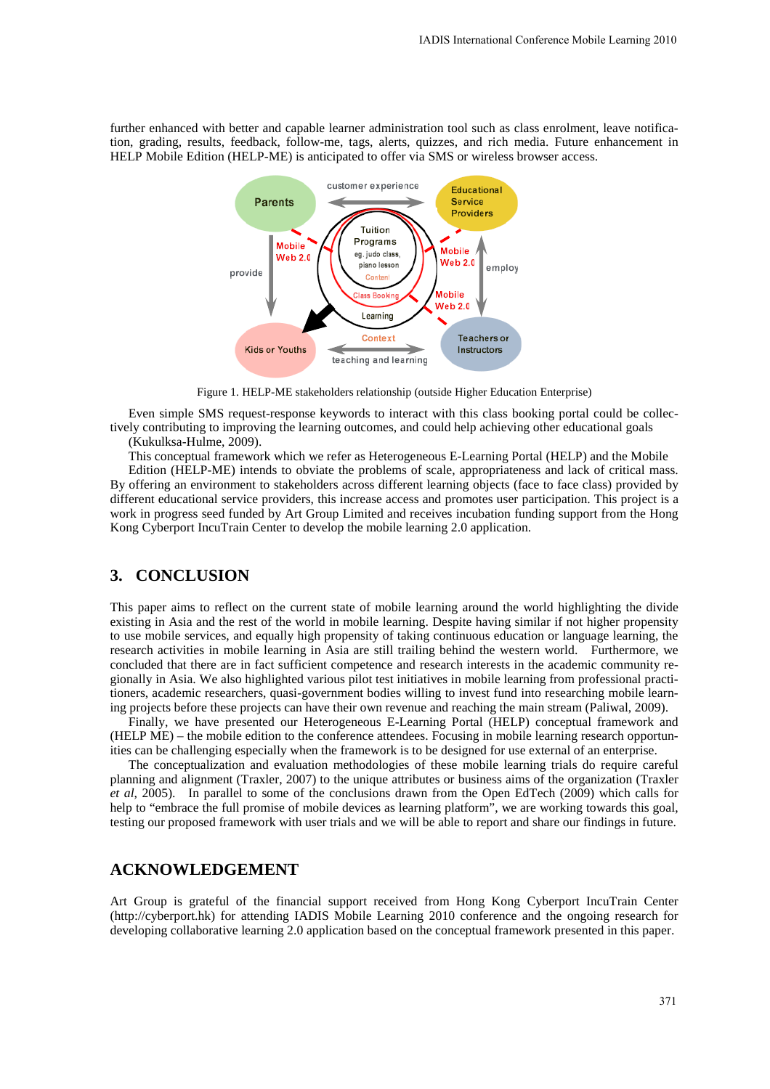further enhanced with better and capable learner administration tool such as class enrolment, leave notification, grading, results, feedback, follow-me, tags, alerts, quizzes, and rich media. Future enhancement in HELP Mobile Edition (HELP-ME) is anticipated to offer via SMS or wireless browser access.



Figure 1. HELP-ME stakeholders relationship (outside Higher Education Enterprise)

Even simple SMS request-response keywords to interact with this class booking portal could be collectively contributing to improving the learning outcomes, and could help achieving other educational goals (Kukulksa-Hulme, 2009).

This conceptual framework which we refer as Heterogeneous E-Learning Portal (HELP) and the Mobile

Edition (HELP-ME) intends to obviate the problems of scale, appropriateness and lack of critical mass. By offering an environment to stakeholders across different learning objects (face to face class) provided by different educational service providers, this increase access and promotes user participation. This project is a work in progress seed funded by Art Group Limited and receives incubation funding support from the Hong Kong Cyberport IncuTrain Center to develop the mobile learning 2.0 application.

### **3. CONCLUSION**

This paper aims to reflect on the current state of mobile learning around the world highlighting the divide existing in Asia and the rest of the world in mobile learning. Despite having similar if not higher propensity to use mobile services, and equally high propensity of taking continuous education or language learning, the research activities in mobile learning in Asia are still trailing behind the western world. Furthermore, we concluded that there are in fact sufficient competence and research interests in the academic community regionally in Asia. We also highlighted various pilot test initiatives in mobile learning from professional practitioners, academic researchers, quasi-government bodies willing to invest fund into researching mobile learning projects before these projects can have their own revenue and reaching the main stream (Paliwal, 2009).

Finally, we have presented our Heterogeneous E-Learning Portal (HELP) conceptual framework and (HELP ME) – the mobile edition to the conference attendees. Focusing in mobile learning research opportunities can be challenging especially when the framework is to be designed for use external of an enterprise.

The conceptualization and evaluation methodologies of these mobile learning trials do require careful planning and alignment (Traxler, 2007) to the unique attributes or business aims of the organization (Traxler *et al*, 2005). In parallel to some of the conclusions drawn from the Open EdTech (2009) which calls for help to "embrace the full promise of mobile devices as learning platform", we are working towards this goal, testing our proposed framework with user trials and we will be able to report and share our findings in future.

#### **ACKNOWLEDGEMENT**

Art Group is grateful of the financial support received from Hong Kong Cyberport IncuTrain Center (http://cyberport.hk) for attending IADIS Mobile Learning 2010 conference and the ongoing research for developing collaborative learning 2.0 application based on the conceptual framework presented in this paper.